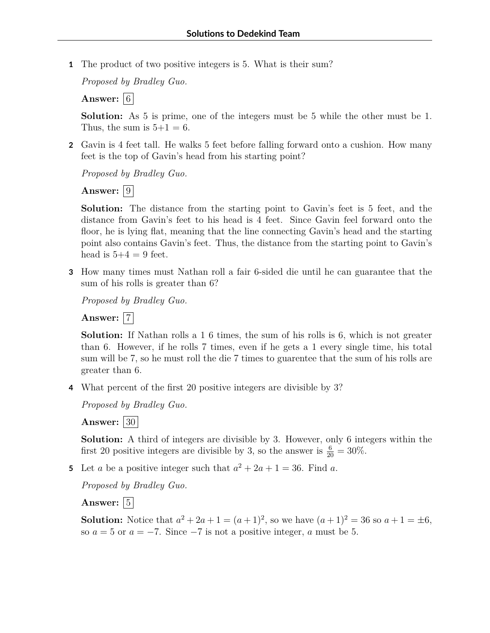**1** The product of two positive integers is 5. What is their sum?

*Proposed by Bradley Guo.*

**Answer:**  $|6|$ 

**Solution:** As 5 is prime, one of the integers must be 5 while the other must be 1. Thus, the sum is  $5+1=6$ .

**2** Gavin is 4 feet tall. He walks 5 feet before falling forward onto a cushion. How many feet is the top of Gavin's head from his starting point?

*Proposed by Bradley Guo.*

**Answer:**  $|9|$ 

**Solution:** The distance from the starting point to Gavin's feet is 5 feet, and the distance from Gavin's feet to his head is 4 feet. Since Gavin feel forward onto the floor, he is lying flat, meaning that the line connecting Gavin's head and the starting point also contains Gavin's feet. Thus, the distance from the starting point to Gavin's head is  $5+4=9$  feet.

**3** How many times must Nathan roll a fair 6-sided die until he can guarantee that the sum of his rolls is greater than 6?

*Proposed by Bradley Guo.*

Answer:  $|7|$ 

**Solution:** If Nathan rolls a 1 6 times, the sum of his rolls is 6, which is not greater than 6. However, if he rolls 7 times, even if he gets a 1 every single time, his total sum will be 7, so he must roll the die 7 times to guarentee that the sum of his rolls are greater than 6.

**4** What percent of the first 20 positive integers are divisible by 3?

*Proposed by Bradley Guo.*

**Answer:** 30

**Solution:** A third of integers are divisible by 3. However, only 6 integers within the first 20 positive integers are divisible by 3, so the answer is  $\frac{6}{20} = 30\%$ .

**5** Let *a* be a positive integer such that  $a^2 + 2a + 1 = 36$ . Find *a*.

*Proposed by Bradley Guo.*

Answer:  $|5|$ 

**Solution:** Notice that  $a^2 + 2a + 1 = (a+1)^2$ , so we have  $(a+1)^2 = 36$  so  $a+1 = \pm 6$ , so  $a = 5$  or  $a = -7$ . Since  $-7$  is not a positive integer, a must be 5.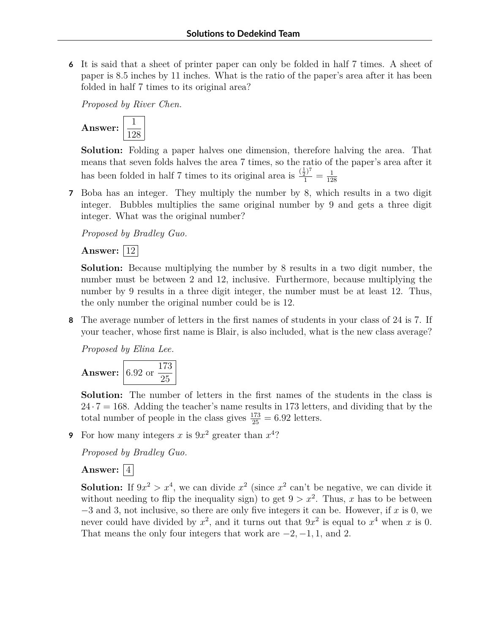**6** It is said that a sheet of printer paper can only be folded in half 7 times. A sheet of paper is 8.5 inches by 11 inches. What is the ratio of the paper's area after it has been folded in half 7 times to its original area?

*Proposed by River Chen.*



**Solution:** Folding a paper halves one dimension, therefore halving the area. That means that seven folds halves the area 7 times, so the ratio of the paper's area after it has been folded in half 7 times to its original area is  $\frac{(\frac{1}{2})^7}{1} = \frac{1}{12}$ 128

**7** Boba has an integer. They multiply the number by 8, which results in a two digit integer. Bubbles multiplies the same original number by 9 and gets a three digit integer. What was the original number?

*Proposed by Bradley Guo.*

**Answer:** |12|

**Solution:** Because multiplying the number by 8 results in a two digit number, the number must be between 2 and 12, inclusive. Furthermore, because multiplying the number by 9 results in a three digit integer, the number must be at least 12. Thus, the only number the original number could be is 12.

**8** The average number of letters in the first names of students in your class of 24 is 7. If your teacher, whose first name is Blair, is also included, what is the new class average?

*Proposed by Elina Lee.*

**Answer:** 6.92 or 173 25

**Solution:** The number of letters in the first names of the students in the class is  $24 \cdot 7 = 168$ . Adding the teacher's name results in 173 letters, and dividing that by the total number of people in the class gives  $\frac{173}{25} = 6.92$  letters.

**9** For how many integers x is  $9x^2$  greater than  $x^4$ ?

*Proposed by Bradley Guo.*

## Answer:  $|4|$

**Solution:** If  $9x^2 > x^4$ , we can divide  $x^2$  (since  $x^2$  can't be negative, we can divide it without needing to flip the inequality sign) to get  $9 > x^2$ . Thus, *x* has to be between −3 and 3, not inclusive, so there are only five integers it can be. However, if *x* is 0, we never could have divided by  $x^2$ , and it turns out that  $9x^2$  is equal to  $x^4$  when *x* is 0. That means the only four integers that work are  $-2$ ,  $-1$ , 1*,* and 2.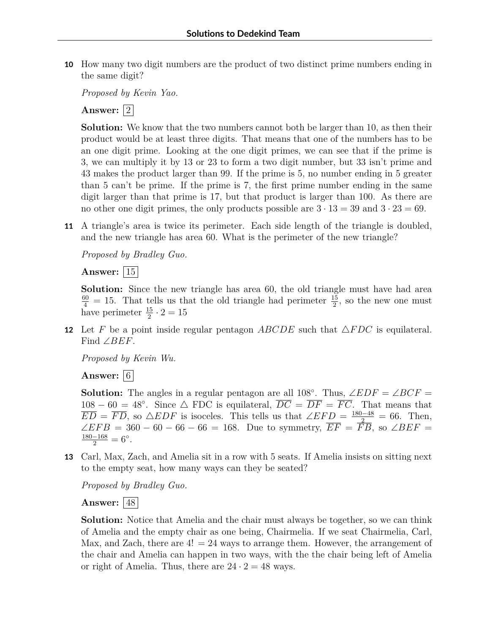**10** How many two digit numbers are the product of two distinct prime numbers ending in the same digit?

*Proposed by Kevin Yao.*

Answer:  $|2|$ 

**Solution:** We know that the two numbers cannot both be larger than 10, as then their product would be at least three digits. That means that one of the numbers has to be an one digit prime. Looking at the one digit primes, we can see that if the prime is 3, we can multiply it by 13 or 23 to form a two digit number, but 33 isn't prime and 43 makes the product larger than 99. If the prime is 5, no number ending in 5 greater than 5 can't be prime. If the prime is 7, the first prime number ending in the same digit larger than that prime is 17, but that product is larger than 100. As there are no other one digit primes, the only products possible are  $3 \cdot 13 = 39$  and  $3 \cdot 23 = 69$ .

**11** A triangle's area is twice its perimeter. Each side length of the triangle is doubled, and the new triangle has area 60. What is the perimeter of the new triangle?

*Proposed by Bradley Guo.*

**Answer:** 15

**Solution:** Since the new triangle has area 60, the old triangle must have had area  $\frac{60}{4}$  = 15. That tells us that the old triangle had perimeter  $\frac{15}{2}$ , so the new one must have perimeter  $\frac{15}{2} \cdot 2 = 15$ 

**12** Let *F* be a point inside regular pentagon *ABCDE* such that  $\triangle FDC$  is equilateral. Find ∠*BEF*.

*Proposed by Kevin Wu.*

**Answer:**  $|6|$ 

**Solution:** The angles in a regular pentagon are all 108°. Thus,  $\angle EDF = \angle BCF =$  $108 - 60 = 48^\circ$ . Since  $\triangle$  FDC is equilateral,  $\overline{DC} = \overline{DF} = \overline{FC}$ . That means that  $\overline{ED} = \overline{FD}$ , so  $\triangle EDF$  is isoceles. This tells us that  $\angle EFD = \frac{180-48}{2} = 66$ . Then,  $\angle EFB = 360 - 60 - 66 - 66 = 168$ . Due to symmetry,  $\overline{EF} = \overline{FB}$ , so  $\angle BEF =$  $\frac{180-168}{2} = 6^{\circ}.$ 

**13** Carl, Max, Zach, and Amelia sit in a row with 5 seats. If Amelia insists on sitting next to the empty seat, how many ways can they be seated?

*Proposed by Bradley Guo.*

**Answer:** 48

**Solution:** Notice that Amelia and the chair must always be together, so we can think of Amelia and the empty chair as one being, Chairmelia. If we seat Chairmelia, Carl, Max, and Zach, there are  $4! = 24$  ways to arrange them. However, the arrangement of the chair and Amelia can happen in two ways, with the the chair being left of Amelia or right of Amelia. Thus, there are  $24 \cdot 2 = 48$  ways.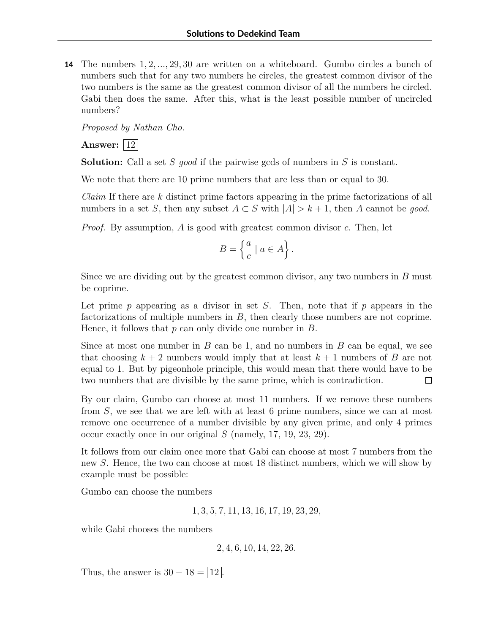**14** The numbers 1*,* 2*, ...,* 29*,* 30 are written on a whiteboard. Gumbo circles a bunch of numbers such that for any two numbers he circles, the greatest common divisor of the two numbers is the same as the greatest common divisor of all the numbers he circled. Gabi then does the same. After this, what is the least possible number of uncircled numbers?

*Proposed by Nathan Cho.*

**Answer:** 12

**Solution:** Call a set *S good* if the pairwise gcds of numbers in *S* is constant.

We note that there are 10 prime numbers that are less than or equal to 30.

*Claim* If there are *k* distinct prime factors appearing in the prime factorizations of all numbers in a set *S*, then any subset  $A \subset S$  with  $|A| > k + 1$ , then *A* cannot be *good*.

*Proof.* By assumption, *A* is good with greatest common divisor *c*. Then, let

$$
B = \left\{ \frac{a}{c} \mid a \in A \right\}.
$$

Since we are dividing out by the greatest common divisor, any two numbers in *B* must be coprime.

Let prime *p* appearing as a divisor in set *S*. Then, note that if *p* appears in the factorizations of multiple numbers in *B*, then clearly those numbers are not coprime. Hence, it follows that *p* can only divide one number in *B*.

Since at most one number in *B* can be 1, and no numbers in *B* can be equal, we see that choosing  $k + 2$  numbers would imply that at least  $k + 1$  numbers of *B* are not equal to 1. But by pigeonhole principle, this would mean that there would have to be two numbers that are divisible by the same prime, which is contradiction.  $\Box$ 

By our claim, Gumbo can choose at most 11 numbers. If we remove these numbers from *S*, we see that we are left with at least 6 prime numbers, since we can at most remove one occurrence of a number divisible by any given prime, and only 4 primes occur exactly once in our original *S* (namely, 17, 19, 23, 29).

It follows from our claim once more that Gabi can choose at most 7 numbers from the new *S*. Hence, the two can choose at most 18 distinct numbers, which we will show by example must be possible:

Gumbo can choose the numbers

1*,* 3*,* 5*,* 7*,* 11*,* 13*,* 16*,* 17*,* 19*,* 23*,* 29*,*

while Gabi chooses the numbers

2*,* 4*,* 6*,* 10*,* 14*,* 22*,* 26*.*

Thus, the answer is  $30 - 18 = |12|$ .